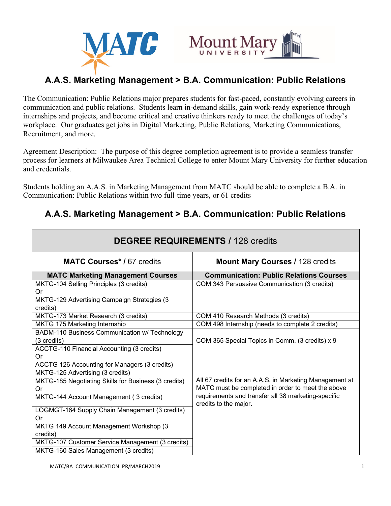



# **A.A.S. Marketing Management > B.A. Communication: Public Relations**

The Communication: Public Relations major prepares students for fast-paced, constantly evolving careers in communication and public relations. Students learn in-demand skills, gain work-ready experience through internships and projects, and become critical and creative thinkers ready to meet the challenges of today's workplace. Our graduates get jobs in Digital Marketing, Public Relations, Marketing Communications, Recruitment, and more.

Agreement Description: The purpose of this degree completion agreement is to provide a seamless transfer process for learners at Milwaukee Area Technical College to enter Mount Mary University for further education and credentials.

Students holding an A.A.S. in Marketing Management from MATC should be able to complete a B.A. in Communication: Public Relations within two full-time years, or 61 credits

## **A.A.S. Marketing Management > B.A. Communication: Public Relations**

|                                                                                                                                                                   | <b>DEGREE REQUIREMENTS / 128 credits</b>                                                                                                                                                     |
|-------------------------------------------------------------------------------------------------------------------------------------------------------------------|----------------------------------------------------------------------------------------------------------------------------------------------------------------------------------------------|
| <b>MATC Courses*/67 credits</b>                                                                                                                                   | <b>Mount Mary Courses / 128 credits</b>                                                                                                                                                      |
| <b>MATC Marketing Management Courses</b>                                                                                                                          | <b>Communication: Public Relations Courses</b>                                                                                                                                               |
| MKTG-104 Selling Principles (3 credits)<br>Or                                                                                                                     | COM 343 Persuasive Communication (3 credits)                                                                                                                                                 |
| MKTG-129 Advertising Campaign Strategies (3<br>credits)                                                                                                           |                                                                                                                                                                                              |
| MKTG-173 Market Research (3 credits)                                                                                                                              | COM 410 Research Methods (3 credits)                                                                                                                                                         |
| MKTG 175 Marketing Internship                                                                                                                                     | COM 498 Internship (needs to complete 2 credits)                                                                                                                                             |
| BADM-110 Business Communication w/ Technology<br>(3 credits)<br>ACCTG-110 Financial Accounting (3 credits)<br>Or<br>ACCTG 126 Accounting for Managers (3 credits) | COM 365 Special Topics in Comm. (3 credits) x 9                                                                                                                                              |
| MKTG-125 Advertising (3 credits)                                                                                                                                  |                                                                                                                                                                                              |
| MKTG-185 Negotiating Skills for Business (3 credits)<br>Or<br>MKTG-144 Account Management (3 credits)                                                             | All 67 credits for an A.A.S. in Marketing Management at<br>MATC must be completed in order to meet the above<br>requirements and transfer all 38 marketing-specific<br>credits to the major. |
| LOGMGT-164 Supply Chain Management (3 credits)<br>Or                                                                                                              |                                                                                                                                                                                              |
| MKTG 149 Account Management Workshop (3<br>credits)                                                                                                               |                                                                                                                                                                                              |
| MKTG-107 Customer Service Management (3 credits)                                                                                                                  |                                                                                                                                                                                              |
| MKTG-160 Sales Management (3 credits)                                                                                                                             |                                                                                                                                                                                              |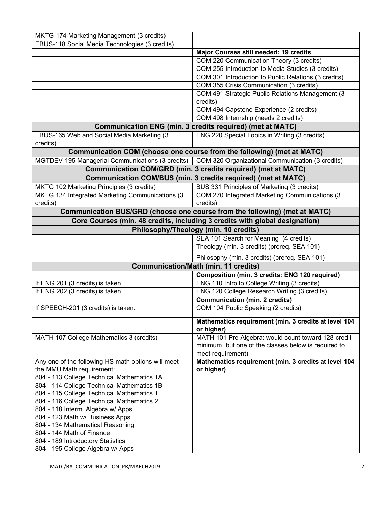| MKTG-174 Marketing Management (3 credits)                                                           |                                                                             |
|-----------------------------------------------------------------------------------------------------|-----------------------------------------------------------------------------|
| EBUS-118 Social Media Technologies (3 credits)                                                      |                                                                             |
|                                                                                                     | Major Courses still needed: 19 credits                                      |
|                                                                                                     | COM 220 Communication Theory (3 credits)                                    |
|                                                                                                     | COM 255 Introduction to Media Studies (3 credits)                           |
|                                                                                                     | COM 301 Introduction to Public Relations (3 credits)                        |
|                                                                                                     | COM 355 Crisis Communication (3 credits)                                    |
|                                                                                                     | COM 491 Strategic Public Relations Management (3                            |
|                                                                                                     | credits)                                                                    |
|                                                                                                     | COM 494 Capstone Experience (2 credits)                                     |
|                                                                                                     | COM 498 Internship (needs 2 credits)                                        |
|                                                                                                     | Communication ENG (min. 3 credits required) (met at MATC)                   |
| EBUS-165 Web and Social Media Marketing (3<br>credits)                                              | ENG 220 Special Topics in Writing (3 credits)                               |
|                                                                                                     | Communication COM (choose one course from the following) (met at MATC)      |
| MGTDEV-195 Managerial Communications (3 credits)   COM 320 Organizational Communication (3 credits) |                                                                             |
|                                                                                                     | Communication COM/GRD (min. 3 credits required) (met at MATC)               |
|                                                                                                     | <b>Communication COM/BUS (min. 3 credits required) (met at MATC)</b>        |
| MKTG 102 Marketing Principles (3 credits)                                                           | BUS 331 Principles of Marketing (3 credits)                                 |
| MKTG 134 Integrated Marketing Communications (3<br>credits)                                         | COM 270 Integrated Marketing Communications (3<br>credits)                  |
|                                                                                                     | Communication BUS/GRD (choose one course from the following) (met at MATC)  |
|                                                                                                     | Core Courses (min. 48 credits, including 3 credits with global designation) |
|                                                                                                     | Philosophy/Theology (min. 10 credits)                                       |
|                                                                                                     | SEA 101 Search for Meaning (4 credits)                                      |
|                                                                                                     | Theology (min. 3 credits) (prereq. SEA 101)                                 |
|                                                                                                     |                                                                             |
|                                                                                                     | Philosophy (min. 3 credits) (prereq. SEA 101)                               |
|                                                                                                     | <b>Communication/Math (min. 11 credits)</b>                                 |
|                                                                                                     | Composition (min. 3 credits: ENG 120 required)                              |
| If ENG 201 (3 credits) is taken.                                                                    | ENG 110 Intro to College Writing (3 credits)                                |
| If ENG 202 (3 credits) is taken.                                                                    | ENG 120 College Research Writing (3 credits)                                |
|                                                                                                     | <b>Communication (min. 2 credits)</b>                                       |
| If SPEECH-201 (3 credits) is taken.                                                                 | COM 104 Public Speaking (2 credits)                                         |
|                                                                                                     | Mathematics requirement (min. 3 credits at level 104<br>or higher)          |
| MATH 107 College Mathematics 3 (credits)                                                            | MATH 101 Pre-Algebra: would count toward 128-credit                         |
|                                                                                                     | minimum, but one of the classes below is required to                        |
|                                                                                                     | meet requirement)                                                           |
| Any one of the following HS math options will meet                                                  | Mathematics requirement (min. 3 credits at level 104                        |
| the MMU Math requirement:                                                                           | or higher)                                                                  |
| 804 - 113 College Technical Mathematics 1A                                                          |                                                                             |
| 804 - 114 College Technical Mathematics 1B                                                          |                                                                             |
| 804 - 115 College Technical Mathematics 1                                                           |                                                                             |
| 804 - 116 College Technical Mathematics 2                                                           |                                                                             |
| 804 - 118 Interm. Algebra w/ Apps                                                                   |                                                                             |
| 804 - 123 Math w/ Business Apps                                                                     |                                                                             |
| 804 - 134 Mathematical Reasoning                                                                    |                                                                             |
| 804 - 144 Math of Finance                                                                           |                                                                             |
| 804 - 189 Introductory Statistics                                                                   |                                                                             |
| 804 - 195 College Algebra w/ Apps                                                                   |                                                                             |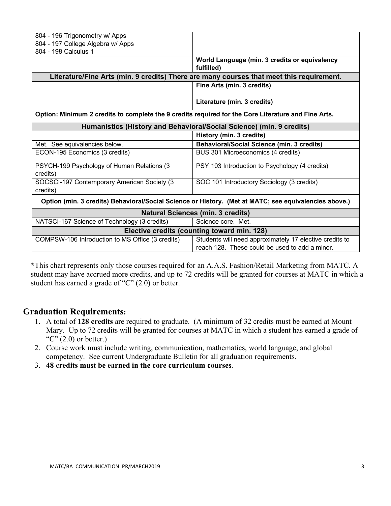| 804 - 196 Trigonometry w/ Apps<br>804 - 197 College Algebra w/ Apps<br>804 - 198 Calculus 1<br>World Language (min. 3 credits or equivalency<br>fulfilled)<br>Literature/Fine Arts (min. 9 credits) There are many courses that meet this requirement.<br>Fine Arts (min. 3 credits)<br>Literature (min. 3 credits) |
|---------------------------------------------------------------------------------------------------------------------------------------------------------------------------------------------------------------------------------------------------------------------------------------------------------------------|
|                                                                                                                                                                                                                                                                                                                     |
|                                                                                                                                                                                                                                                                                                                     |
|                                                                                                                                                                                                                                                                                                                     |
|                                                                                                                                                                                                                                                                                                                     |
|                                                                                                                                                                                                                                                                                                                     |
|                                                                                                                                                                                                                                                                                                                     |
|                                                                                                                                                                                                                                                                                                                     |
| Option: Minimum 2 credits to complete the 9 credits required for the Core Literature and Fine Arts.                                                                                                                                                                                                                 |
| Humanistics (History and Behavioral/Social Science) (min. 9 credits)                                                                                                                                                                                                                                                |
| History (min. 3 credits)                                                                                                                                                                                                                                                                                            |
| <b>Behavioral/Social Science (min. 3 credits)</b><br>Met. See equivalencies below.                                                                                                                                                                                                                                  |
| ECON-195 Economics (3 credits)<br>BUS 301 Microeconomics (4 credits)                                                                                                                                                                                                                                                |
| PSYCH-199 Psychology of Human Relations (3<br>PSY 103 Introduction to Psychology (4 credits)<br>credits)                                                                                                                                                                                                            |
| SOCSCI-197 Contemporary American Society (3<br>SOC 101 Introductory Sociology (3 credits)<br>credits)                                                                                                                                                                                                               |
| Option (min. 3 credits) Behavioral/Social Science or History. (Met at MATC; see equivalencies above.)                                                                                                                                                                                                               |
| <b>Natural Sciences (min. 3 credits)</b>                                                                                                                                                                                                                                                                            |
| NATSCI-167 Science of Technology (3 credits)<br>Science core. Met.                                                                                                                                                                                                                                                  |
| Elective credits (counting toward min. 128)                                                                                                                                                                                                                                                                         |
| COMPSW-106 Introduction to MS Office (3 credits)<br>Students will need approximately 17 elective credits to                                                                                                                                                                                                         |
| reach 128. These could be used to add a minor.                                                                                                                                                                                                                                                                      |

**\***This chart represents only those courses required for an A.A.S. Fashion/Retail Marketing from MATC. A student may have accrued more credits, and up to 72 credits will be granted for courses at MATC in which a student has earned a grade of "C" (2.0) or better.

### **Graduation Requirements:**

- 1. A total of **128 credits** are required to graduate. (A minimum of 32 credits must be earned at Mount Mary. Up to 72 credits will be granted for courses at MATC in which a student has earned a grade of "C"  $(2.0)$  or better.)
- 2. Course work must include writing, communication, mathematics, world language, and global competency. See current Undergraduate Bulletin for all graduation requirements.
- 3. **48 credits must be earned in the core curriculum courses**.